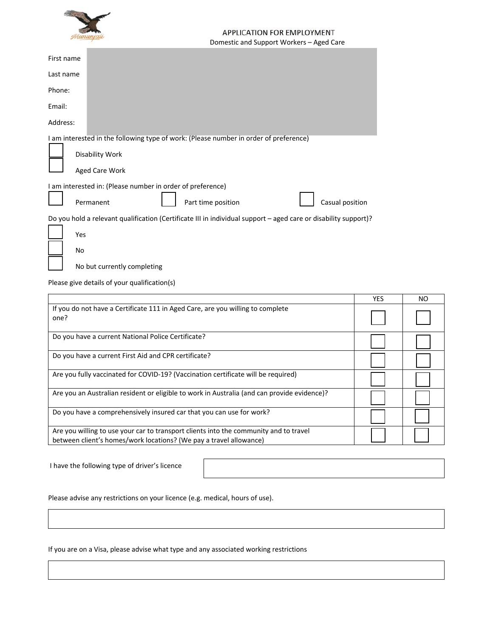

# APPLICATION FOR EMPLOYMENT Domestic and Support Workers – Aged Care

| First name |                                                                                                                 |
|------------|-----------------------------------------------------------------------------------------------------------------|
| Last name  |                                                                                                                 |
| Phone:     |                                                                                                                 |
| Email:     |                                                                                                                 |
| Address:   |                                                                                                                 |
|            | I am interested in the following type of work: (Please number in order of preference)                           |
|            | Disability Work                                                                                                 |
|            | Aged Care Work                                                                                                  |
|            | I am interested in: (Please number in order of preference)                                                      |
|            | Part time position<br>Casual position<br>Permanent                                                              |
|            | Do you hold a relevant qualification (Certificate III in individual support – aged care or disability support)? |
| Yes        |                                                                                                                 |

No but currently completing

Please give details of your qualification(s)

No

|                                                                                                                                                             | <b>YES</b> | NO |
|-------------------------------------------------------------------------------------------------------------------------------------------------------------|------------|----|
| If you do not have a Certificate 111 in Aged Care, are you willing to complete<br>one?                                                                      |            |    |
| Do you have a current National Police Certificate?                                                                                                          |            |    |
| Do you have a current First Aid and CPR certificate?                                                                                                        |            |    |
| Are you fully vaccinated for COVID-19? (Vaccination certificate will be required)                                                                           |            |    |
| Are you an Australian resident or eligible to work in Australia (and can provide evidence)?                                                                 |            |    |
| Do you have a comprehensively insured car that you can use for work?                                                                                        |            |    |
| Are you willing to use your car to transport clients into the community and to travel<br>between client's homes/work locations? (We pay a travel allowance) |            |    |

I have the following type of driver's licence

Please advise any restrictions on your licence (e.g. medical, hours of use).

If you are on a Visa, please advise what type and any associated working restrictions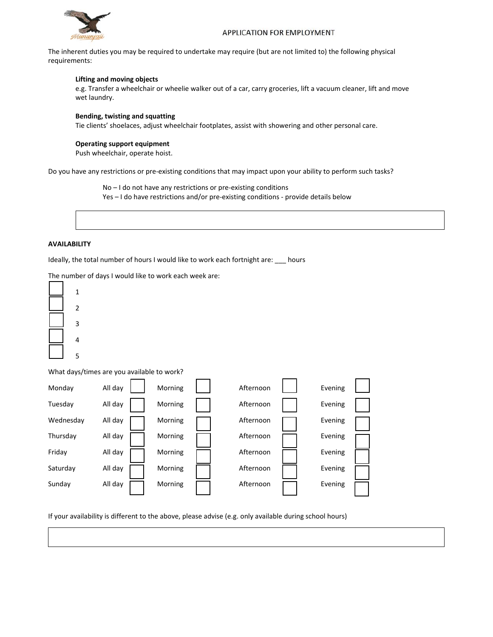

The inherent duties you may be required to undertake may require (but are not limited to) the following physical requirements:

### **Lifting and moving objects**

e.g. Transfer a wheelchair or wheelie walker out of a car, carry groceries, lift a vacuum cleaner, lift and move wet laundry.

### **Bending, twisting and squatting**

Tie clients' shoelaces, adjust wheelchair footplates, assist with showering and other personal care.

#### **Operating support equipment**

Push wheelchair, operate hoist.

Do you have any restrictions or pre‐existing conditions that may impact upon your ability to perform such tasks?

No – I do not have any restrictions or pre‐existing conditions Yes – I do have restrictions and/or pre-existing conditions - provide details below

## **AVAILABILITY**

Ideally, the total number of hours I would like to work each fortnight are: \_\_\_ hours

The number of days I would like to work each week are:



What days/times are you available to work?



If your availability is different to the above, please advise (e.g. only available during school hours)